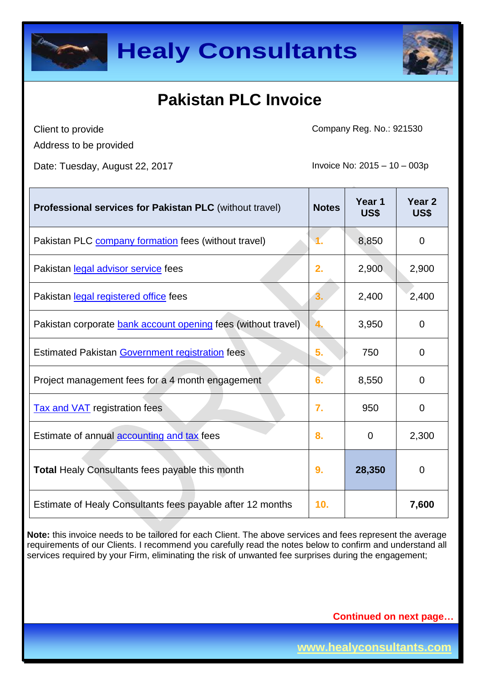



Client to provide Address to be provided Company Reg. No.: 921530

Date: Tuesday, August 22, 2017 **Invoice No: 2015** – 10 – 003p

| <b>Professional services for Pakistan PLC</b> (without travel) | <b>Notes</b> | Year <sub>1</sub><br>US\$ | Year <sub>2</sub><br>US\$ |
|----------------------------------------------------------------|--------------|---------------------------|---------------------------|
| Pakistan PLC company formation fees (without travel)           |              | 8,850                     | $\overline{0}$            |
| Pakistan legal advisor service fees                            | 2.           | 2,900                     | 2,900                     |
| Pakistan legal registered office fees                          | З.           | 2,400                     | 2,400                     |
| Pakistan corporate bank account opening fees (without travel)  |              | 3,950                     | 0                         |
| <b>Estimated Pakistan Government registration fees</b>         | 5.           | 750                       | 0                         |
| Project management fees for a 4 month engagement               | 6.           | 8,550                     | $\Omega$                  |
| <b>Tax and VAT</b> registration fees                           | 7.           | 950                       | 0                         |
| Estimate of annual accounting and tax fees                     | 8.           | 0                         | 2,300                     |
| <b>Total Healy Consultants fees payable this month</b>         | 9.           | 28,350                    | $\mathbf 0$               |
| Estimate of Healy Consultants fees payable after 12 months     | 10.          |                           | 7,600                     |

**Note:** this invoice needs to be tailored for each Client. The above services and fees represent the average requirements of our Clients. I recommend you carefully read the notes below to confirm and understand all services required by your Firm, eliminating the risk of unwanted fee surprises during the engagement;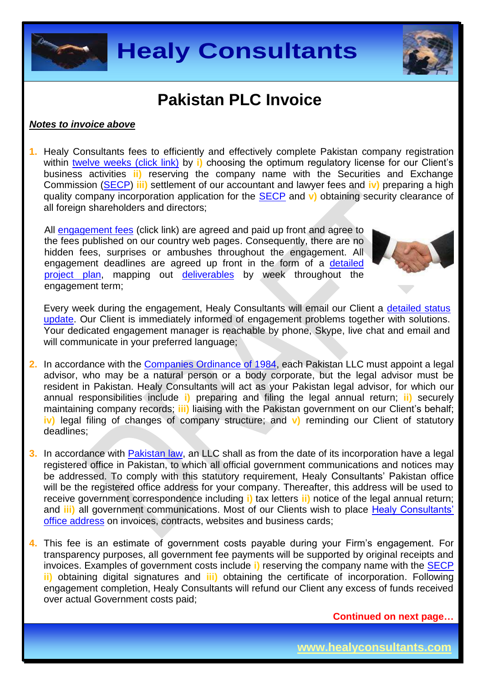



#### *Notes to invoice above*

**1.** Healy Consultants fees to efficiently and effectively complete Pakistan company registration within twelve [weeks \(click link\)](http://www.healyconsultants.com/pakistan-company-registration/fees-timelines/#timelines) by **i**) choosing the optimum regulatory license for our Client's business activities **ii)** reserving the company name with the Securities and Exchange Commission [\(SECP\)](http://www.secp.gov.pk/) **iii)** settlement of our accountant and lawyer fees and **iv)** preparing a high quality company incorporation application for the [SECP](http://www.secp.gov.pk/) and **v)** obtaining security clearance of all foreign shareholders and directors;

All [engagement fees](http://www.healyconsultants.com/company-registration-fees/) (click link) are agreed and paid up front and agree to the fees published on our country web pages. Consequently, there are no hidden fees, surprises or ambushes throughout the engagement. All engagement deadlines are agreed up front in the form of a [detailed](http://www.healyconsultants.com/index-important-links/example-project-plan/)  [project plan,](http://www.healyconsultants.com/index-important-links/example-project-plan/) mapping out [deliverables](http://www.healyconsultants.com/deliverables-to-our-clients/) by week throughout the engagement term;



Every week during the engagement, Healy Consultants will email our Client a [detailed status](http://www.healyconsultants.com/index-important-links/weekly-engagement-status-email/)  [update.](http://www.healyconsultants.com/index-important-links/weekly-engagement-status-email/) Our Client is immediately informed of engagement problems together with solutions. Your dedicated engagement manager is reachable by phone, Skype, live chat and email and will communicate in your preferred language;

- **2.** In accordance with the [Companies Ordinance of 1984,](http://www.bu.edu/bucflp/files/2012/01/Companies-Ordinance-of-1984.pdf) each Pakistan LLC must appoint a legal advisor, who may be a natural person or a body corporate, but the legal advisor must be resident in Pakistan. Healy Consultants will act as your Pakistan legal advisor, for which our annual responsibilities include **i)** preparing and filing the legal annual return; **ii)** securely maintaining company records; **iii)** liaising with the Pakistan government on our Client's behalf; **iv)** legal filing of changes of company structure; and **v)** reminding our Client of statutory deadlines;
- **3.** In accordance with **Pakistan law**, an LLC shall as from the date of its incorporation have a legal registered office in Pakistan, to which all official government communications and notices may be addressed. To comply with this statutory requirement, Healy Consultants' Pakistan office will be the registered office address for your company. Thereafter, this address will be used to receive government correspondence including **i)** tax letters **ii)** notice of the legal annual return; and **iii)** all government communications. Most of our Clients wish to place Healy Consultants' [office address](http://www.healyconsultants.com/corporate-outsourcing-services/company-secretary-and-legal-registered-office/) on invoices, contracts, websites and business cards;
- **4.** This fee is an estimate of government costs payable during your Firm's engagement. For transparency purposes, all government fee payments will be supported by original receipts and invoices. Examples of government costs include **i)** reserving the company name with the [SECP](http://www.secp.gov.pk/) **ii)** obtaining digital signatures and **iii)** obtaining the certificate of incorporation. Following engagement completion, Healy Consultants will refund our Client any excess of funds received over actual Government costs paid;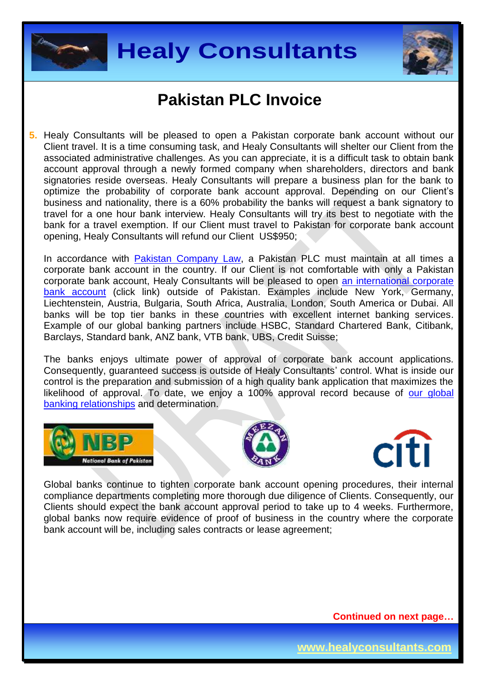



**5.** Healy Consultants will be pleased to open a Pakistan corporate bank account without our Client travel. It is a time consuming task, and Healy Consultants will shelter our Client from the associated administrative challenges. As you can appreciate, it is a difficult task to obtain bank account approval through a newly formed company when shareholders, directors and bank signatories reside overseas. Healy Consultants will prepare a business plan for the bank to optimize the probability of corporate bank account approval. Depending on our Client's business and nationality, there is a 60% probability the banks will request a bank signatory to travel for a one hour bank interview. Healy Consultants will try its best to negotiate with the bank for a travel exemption. If our Client must travel to Pakistan for corporate bank account opening, Healy Consultants will refund our Client US\$950;

In accordance with **Pakistan Company Law**, a Pakistan PLC must maintain at all times a corporate bank account in the country. If our Client is not comfortable with only a Pakistan corporate bank account, Healy Consultants will be pleased to open [an international corporate](http://www.healyconsultants.com/international-banking/)  [bank account](http://www.healyconsultants.com/international-banking/) (click link) outside of Pakistan. Examples include New York, Germany, Liechtenstein, Austria, Bulgaria, South Africa, Australia, London, South America or Dubai. All banks will be top tier banks in these countries with excellent internet banking services. Example of our global banking partners include HSBC, Standard Chartered Bank, Citibank, Barclays, Standard bank, ANZ bank, VTB bank, UBS, Credit Suisse;

The banks enjoys ultimate power of approval of corporate bank account applications. Consequently, guaranteed success is outside of Healy Consultants' control. What is inside our control is the preparation and submission of a high quality bank application that maximizes the likelihood of approval. To date, we enjoy a 100% approval record because of our global [banking relationships](http://www.healyconsultants.com/international-banking/corporate-accounts/) and determination.







Global banks continue to tighten corporate bank account opening procedures, their internal compliance departments completing more thorough due diligence of Clients. Consequently, our Clients should expect the bank account approval period to take up to 4 weeks. Furthermore, global banks now require evidence of proof of business in the country where the corporate bank account will be, including sales contracts or lease agreement;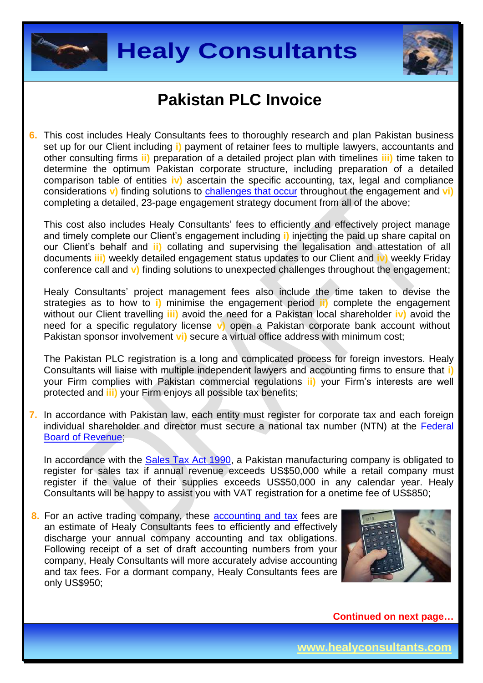



**6.** This cost includes Healy Consultants fees to thoroughly research and plan Pakistan business set up for our Client including **i)** payment of retainer fees to multiple lawyers, accountants and other consulting firms **ii)** preparation of a detailed project plan with timelines **iii)** time taken to determine the optimum Pakistan corporate structure, including preparation of a detailed comparison table of entities **iv)** ascertain the specific accounting, tax, legal and compliance considerations **v)** finding solutions to [challenges that occur](http://www.healyconsultants.com/engagement-project-management/) throughout the engagement and **vi)** completing a detailed, 23-page engagement strategy document from all of the above;

This cost also includes Healy Consultants' fees to efficiently and effectively project manage and timely complete our Client's engagement including **i)** injecting the paid up share capital on our Client's behalf and **ii)** collating and supervising the legalisation and attestation of all documents **iii)** weekly detailed engagement status updates to our Client and **iv)** weekly Friday conference call and **v)** finding solutions to unexpected challenges throughout the engagement;

Healy Consultants' project management fees also include the time taken to devise the strategies as to how to **i)** minimise the engagement period **ii)** complete the engagement without our Client travelling **iii)** avoid the need for a Pakistan local shareholder **iv)** avoid the need for a specific regulatory license **v)** open a Pakistan corporate bank account without Pakistan sponsor involvement **vi)** secure a virtual office address with minimum cost;

The Pakistan PLC registration is a long and complicated process for foreign investors. Healy Consultants will liaise with multiple independent lawyers and accounting firms to ensure that **i)** your Firm complies with Pakistan commercial regulations **ii)** your Firm's interests are well protected and **iii)** your Firm enjoys all possible tax benefits;

**7.** In accordance with Pakistan law, each entity must register for corporate tax and each foreign individual shareholder and director must secure a national tax number (NTN) at the [Federal](http://www.fbr.gov.pk/)  [Board of Revenue;](http://www.fbr.gov.pk/)

In accordance with the [Sales Tax Act 1990,](http://download1.fbr.gov.pk/Docs/20101213131245110staxact1990.pdf) a Pakistan manufacturing company is obligated to register for sales tax if annual revenue exceeds US\$50,000 while a retail company must register if the value of their supplies exceeds US\$50,000 in any calendar year. Healy Consultants will be happy to assist you with VAT registration for a onetime fee of US\$850;

**8.** For an active trading company, these [accounting and tax](http://www.healyconsultants.com/pakistan-company-registration/accounting-legal/) fees are an estimate of Healy Consultants fees to efficiently and effectively discharge your annual company accounting and tax obligations. Following receipt of a set of draft accounting numbers from your company, Healy Consultants will more accurately advise accounting and tax fees. For a dormant company, Healy Consultants fees are only US\$950;

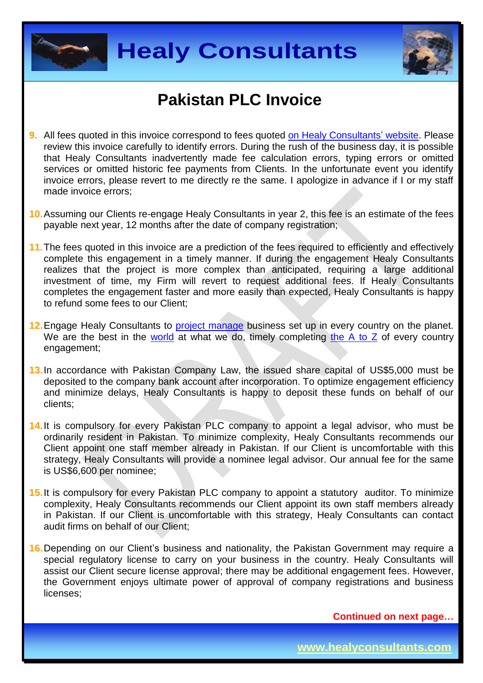



- **9.** All fees quoted in this invoice correspond to fees quoted [on Healy Consultants'](http://www.healyconsultants.com/company-registration-fees/) website. Please review this invoice carefully to identify errors. During the rush of the business day, it is possible that Healy Consultants inadvertently made fee calculation errors, typing errors or omitted services or omitted historic fee payments from Clients. In the unfortunate event you identify invoice errors, please revert to me directly re the same. I apologize in advance if I or my staff made invoice errors;
- **10.**Assuming our Clients re-engage Healy Consultants in year 2, this fee is an estimate of the fees payable next year, 12 months after the date of company registration;
- **11.**The fees quoted in this invoice are a prediction of the fees required to efficiently and effectively complete this engagement in a timely manner. If during the engagement Healy Consultants realizes that the project is more complex than anticipated, requiring a large additional investment of time, my Firm will revert to request additional fees. If Healy Consultants completes the engagement faster and more easily than expected, Healy Consultants is happy to refund some fees to our Client;
- 12. Engage Healy Consultants to [project manage](http://www.healyconsultants.com/project-manage-engagements/) business set up in every country on the planet. We are the best in the [world](http://www.healyconsultants.com/best-in-the-world/) at what we do, timely completing the  $A$  to  $Z$  of every country engagement;
- **13.**In accordance with Pakistan Company Law, the issued share capital of US\$5,000 must be deposited to the company bank account after incorporation. To optimize engagement efficiency and minimize delays, Healy Consultants is happy to deposit these funds on behalf of our clients;
- **14.**It is compulsory for every Pakistan PLC company to appoint a legal advisor, who must be ordinarily resident in Pakistan. To minimize complexity, Healy Consultants recommends our Client appoint one staff member already in Pakistan. If our Client is uncomfortable with this strategy, Healy Consultants will provide a nominee legal advisor. Our annual fee for the same is US\$6,600 per nominee;
- **15.**It is compulsory for every Pakistan PLC company to appoint a statutory auditor. To minimize complexity, Healy Consultants recommends our Client appoint its own staff members already in Pakistan. If our Client is uncomfortable with this strategy, Healy Consultants can contact audit firms on behalf of our Client;
- **16.**Depending on our Client's business and nationality, the Pakistan Government may require a special regulatory license to carry on your business in the country. Healy Consultants will assist our Client secure license approval; there may be additional engagement fees. However, the Government enjoys ultimate power of approval of company registrations and business licenses;

**Continued on next page…**

**www.healyconsultants.com**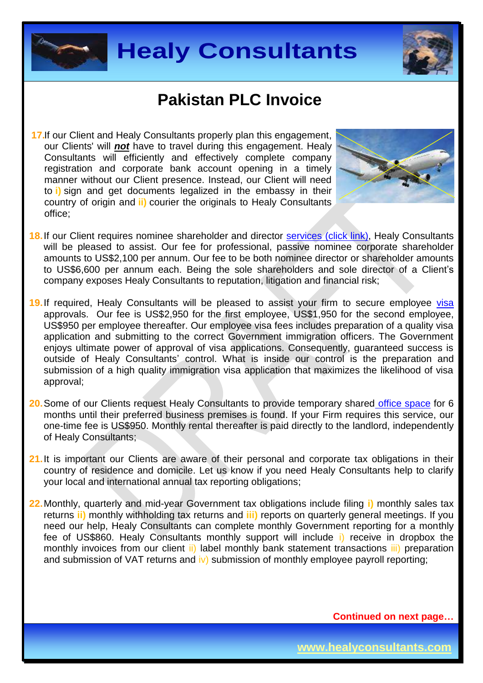



**17.**If our Client and Healy Consultants properly plan this engagement, our Clients' will *not* have to travel during this engagement. Healy Consultants will efficiently and effectively complete company registration and corporate bank account opening in a timely manner without our Client presence. Instead, our Client will need to **i)** sign and get documents legalized in the embassy in their country of origin and **ii)** courier the originals to Healy Consultants office;



- 18. If our Client requires nominee shareholder and director services [\(click link\),](http://www.healyconsultants.com/corporate-outsourcing-services/nominee-shareholders-directors/) Healy Consultants will be pleased to assist. Our fee for professional, passive nominee corporate shareholder amounts to US\$2,100 per annum. Our fee to be both nominee director or shareholder amounts to US\$6,600 per annum each. Being the sole shareholders and sole director of a Client's company exposes Healy Consultants to reputation, litigation and financial risk;
- **19.**If required, Healy Consultants will be pleased to assist your firm to secure employee [visa](http://www.healyconsultants.com/pakistan-company-registration/formation-support-services/) approvals. Our fee is US\$2,950 for the first employee, US\$1,950 for the second employee, US\$950 per employee thereafter. Our employee visa fees includes preparation of a quality visa application and submitting to the correct Government immigration officers. The Government enjoys ultimate power of approval of visa applications. Consequently, guaranteed success is outside of Healy Consultants' control. What is inside our control is the preparation and submission of a high quality immigration visa application that maximizes the likelihood of visa approval;
- **20.**Some of our Clients request Healy Consultants to provide temporary shared [office space](http://www.healyconsultants.com/virtual-office/) for 6 months until their preferred business premises is found. If your Firm requires this service, our one-time fee is US\$950. Monthly rental thereafter is paid directly to the landlord, independently of Healy Consultants;
- 21. It is important our Clients are aware of their personal and corporate tax obligations in their country of residence and domicile. Let us know if you need Healy Consultants help to clarify your local and international annual tax reporting obligations;
- **22.**Monthly, quarterly and mid-year Government tax obligations include filing **i)** monthly sales tax returns **ii)** monthly withholding tax returns and **iii)** reports on quarterly general meetings. If you need our help, Healy Consultants can complete monthly Government reporting for a monthly fee of US\$860. Healy Consultants monthly support will include i) receive in dropbox the monthly invoices from our client ii) label monthly bank statement transactions iii) preparation and submission of VAT returns and iv) submission of monthly employee payroll reporting;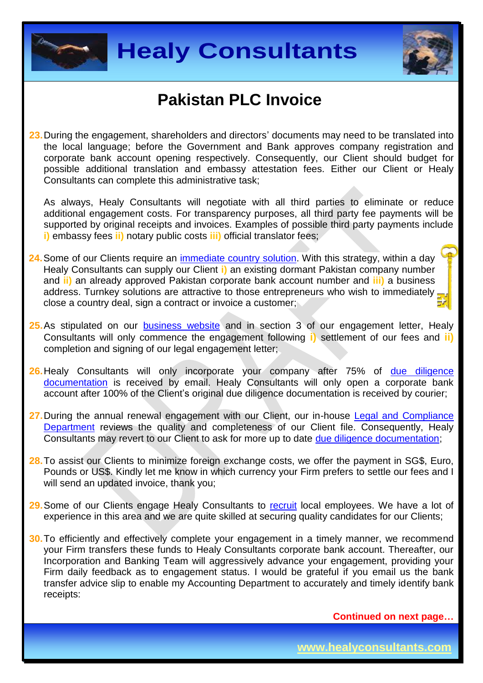



**23.**During the engagement, shareholders and directors' documents may need to be translated into the local language; before the Government and Bank approves company registration and corporate bank account opening respectively. Consequently, our Client should budget for possible additional translation and embassy attestation fees. Either our Client or Healy Consultants can complete this administrative task;

As always, Healy Consultants will negotiate with all third parties to eliminate or reduce additional engagement costs. For transparency purposes, all third party fee payments will be supported by original receipts and invoices. Examples of possible third party payments include **i)** embassy fees **ii)** notary public costs **iii)** official translator fees;

- **24.**Some of our Clients require an [immediate country](http://www.healyconsultants.com/turnkey-solutions/) solution. With this strategy, within a day Healy Consultants can supply our Client **i)** an existing dormant Pakistan company number and **ii)** an already approved Pakistan corporate bank account number and **iii)** a business address. Turnkey solutions are attractive to those entrepreneurs who wish to immediately. close a country deal, sign a contract or invoice a customer;
- 25. As stipulated on our **[business website](http://www.healyconsultants.com/)** and in section 3 of our engagement letter, Healy Consultants will only commence the engagement following **i)** settlement of our fees and **ii)** completion and signing of our legal engagement letter;
- 26. Healy Consultants will only incorporate your company after 75% of due diligence [documentation](http://www.healyconsultants.com/due-diligence/) is received by email. Healy Consultants will only open a corporate bank account after 100% of the Client's original due diligence documentation is received by courier;
- **27.**During the annual renewal engagement with our Client, our in-house [Legal and Compliance](http://www.healyconsultants.com/about-us/key-personnel/cai-xin-profile/)  [Department](http://www.healyconsultants.com/about-us/key-personnel/cai-xin-profile/) reviews the quality and completeness of our Client file. Consequently, Healy Consultants may revert to our Client to ask for more up to date [due diligence documentation;](http://www.healyconsultants.com/due-diligence/)
- **28.**To assist our Clients to minimize foreign exchange costs, we offer the payment in SG\$, Euro, Pounds or US\$. Kindly let me know in which currency your Firm prefers to settle our fees and I will send an updated invoice, thank you;
- **29.**Some of our Clients engage Healy Consultants to [recruit](http://www.healyconsultants.com/corporate-outsourcing-services/how-we-help-our-clients-recruit-quality-employees/) local employees. We have a lot of experience in this area and we are quite skilled at securing quality candidates for our Clients;
- **30.**To efficiently and effectively complete your engagement in a timely manner, we recommend your Firm transfers these funds to Healy Consultants corporate bank account. Thereafter, our Incorporation and Banking Team will aggressively advance your engagement, providing your Firm daily feedback as to engagement status. I would be grateful if you email us the bank transfer advice slip to enable my Accounting Department to accurately and timely identify bank receipts:

**Continued on next page…**

**www.healyconsultants.com**